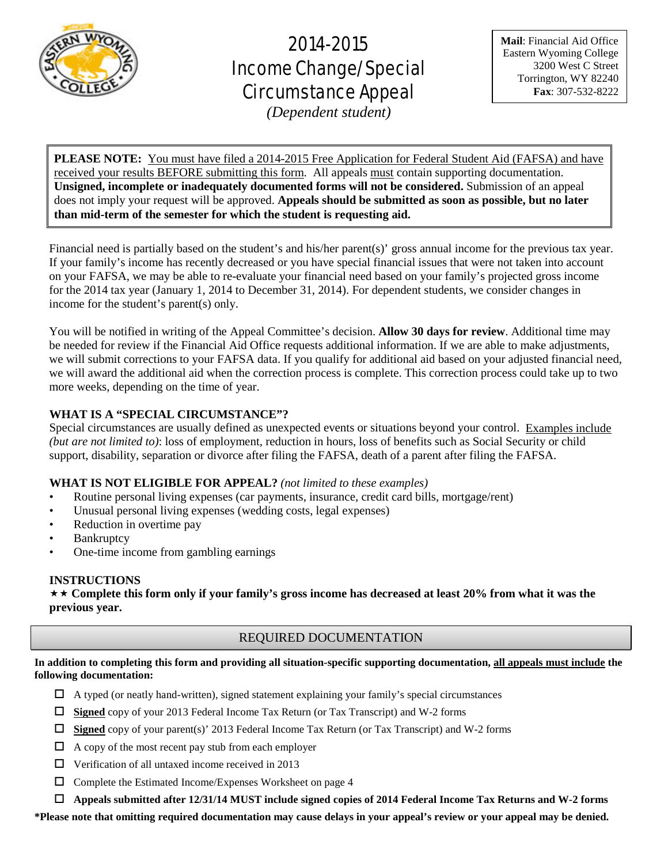

# 2014-2015 Income Change/Special Circumstance Appeal

*(Dependent student)*

**Mail**: Financial Aid Office Eastern Wyoming College 3200 West C Street Torrington, WY 82240 **Fax**: 307-532-8222

**PLEASE NOTE:** You must have filed a 2014-2015 Free Application for Federal Student Aid (FAFSA) and have received your results BEFORE submitting this form. All appeals must contain supporting documentation. **Unsigned, incomplete or inadequately documented forms will not be considered.** Submission of an appeal does not imply your request will be approved. **Appeals should be submitted as soon as possible, but no later than mid-term of the semester for which the student is requesting aid.**

Financial need is partially based on the student's and his/her parent(s)' gross annual income for the previous tax year. If your family's income has recently decreased or you have special financial issues that were not taken into account on your FAFSA, we may be able to re-evaluate your financial need based on your family's projected gross income for the 2014 tax year (January 1, 2014 to December 31, 2014). For dependent students, we consider changes in income for the student's parent(s) only.

You will be notified in writing of the Appeal Committee's decision. **Allow 30 days for review**. Additional time may be needed for review if the Financial Aid Office requests additional information. If we are able to make adjustments, we will submit corrections to your FAFSA data. If you qualify for additional aid based on your adjusted financial need, we will award the additional aid when the correction process is complete. This correction process could take up to two more weeks, depending on the time of year.

# **WHAT IS A "SPECIAL CIRCUMSTANCE"?**

Special circumstances are usually defined as unexpected events or situations beyond your control. Examples include *(but are not limited to)*: loss of employment, reduction in hours, loss of benefits such as Social Security or child support, disability, separation or divorce after filing the FAFSA, death of a parent after filing the FAFSA.

# **WHAT IS NOT ELIGIBLE FOR APPEAL?** *(not limited to these examples)*

- Routine personal living expenses (car payments, insurance, credit card bills, mortgage/rent)
- Unusual personal living expenses (wedding costs, legal expenses)
- Reduction in overtime pay
- **Bankruptcy**
- One-time income from gambling earnings

## **INSTRUCTIONS**

 **Complete this form only if your family's gross income has decreased at least 20% from what it was the previous year.**

# REQUIRED DOCUMENTATION

**In addition to completing this form and providing all situation-specific supporting documentation, all appeals must include the following documentation:**

- $\Box$  A typed (or neatly hand-written), signed statement explaining your family's special circumstances
- **Signed** copy of your 2013 Federal Income Tax Return (or Tax Transcript) and W-2 forms
- **Signed** copy of your parent(s)' 2013 Federal Income Tax Return (or Tax Transcript) and W-2 forms
- $\Box$  A copy of the most recent pay stub from each employer
- $\Box$  Verification of all untaxed income received in 2013
- $\Box$  Complete the Estimated Income/Expenses Worksheet on page 4
- **Appeals submitted after 12/31/14 MUST include signed copies of 2014 Federal Income Tax Returns and W-2 forms**

**\*Please note that omitting required documentation may cause delays in your appeal's review or your appeal may be denied.**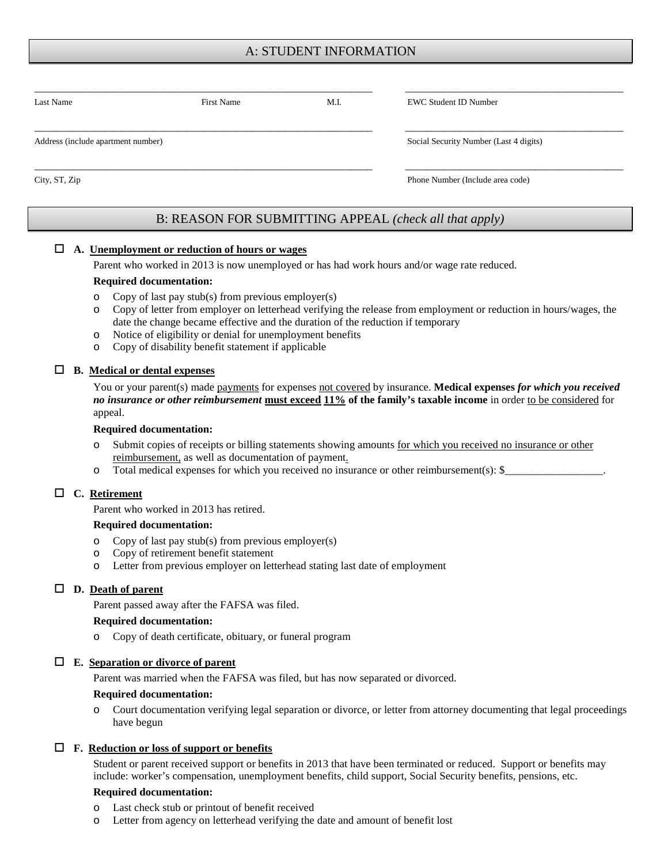# A: STUDENT INFORMATION

| Last Name<br>M.I.<br><b>First Name</b> |  | EWC Student ID Number |                                        |  |
|----------------------------------------|--|-----------------------|----------------------------------------|--|
| Address (include apartment number)     |  |                       | Social Security Number (Last 4 digits) |  |
| City, ST, Zip                          |  |                       | Phone Number (Include area code)       |  |

# B: REASON FOR SUBMITTING APPEAL *(check all that apply)*

#### **A. Unemployment or reduction of hours or wages**

Parent who worked in 2013 is now unemployed or has had work hours and/or wage rate reduced.

#### **Required documentation:**

- o Copy of last pay stub(s) from previous employer(s)
- o Copy of letter from employer on letterhead verifying the release from employment or reduction in hours/wages, the date the change became effective and the duration of the reduction if temporary
- o Notice of eligibility or denial for unemployment benefits
- o Copy of disability benefit statement if applicable

#### **B. Medical or dental expenses**

You or your parent(s) made payments for expenses not covered by insurance. Medical expenses *for which you received no insurance or other reimbursement* **must exceed 11% of the family's taxable income** in order to be considered for appeal.

#### **Required documentation:**

- o Submit copies of receipts or billing statements showing amounts for which you received no insurance or other reimbursement, as well as documentation of payment.
- o Total medical expenses for which you received no insurance or other reimbursement(s): \$\_

#### **C. Retirement**

Parent who worked in 2013 has retired.

#### **Required documentation:**

- o Copy of last pay stub(s) from previous employer(s)
- o Copy of retirement benefit statement
- o Letter from previous employer on letterhead stating last date of employment

#### **D. Death of parent**

Parent passed away after the FAFSA was filed.

#### **Required documentation:**

o Copy of death certificate, obituary, or funeral program

#### **E. Separation or divorce of parent**

Parent was married when the FAFSA was filed, but has now separated or divorced.

#### **Required documentation:**

o Court documentation verifying legal separation or divorce, or letter from attorney documenting that legal proceedings have begun

#### **F. Reduction or loss of support or benefits**

Student or parent received support or benefits in 2013 that have been terminated or reduced. Support or benefits may include: worker's compensation, unemployment benefits, child support, Social Security benefits, pensions, etc.

#### **Required documentation:**

- o Last check stub or printout of benefit received
- Letter from agency on letterhead verifying the date and amount of benefit lost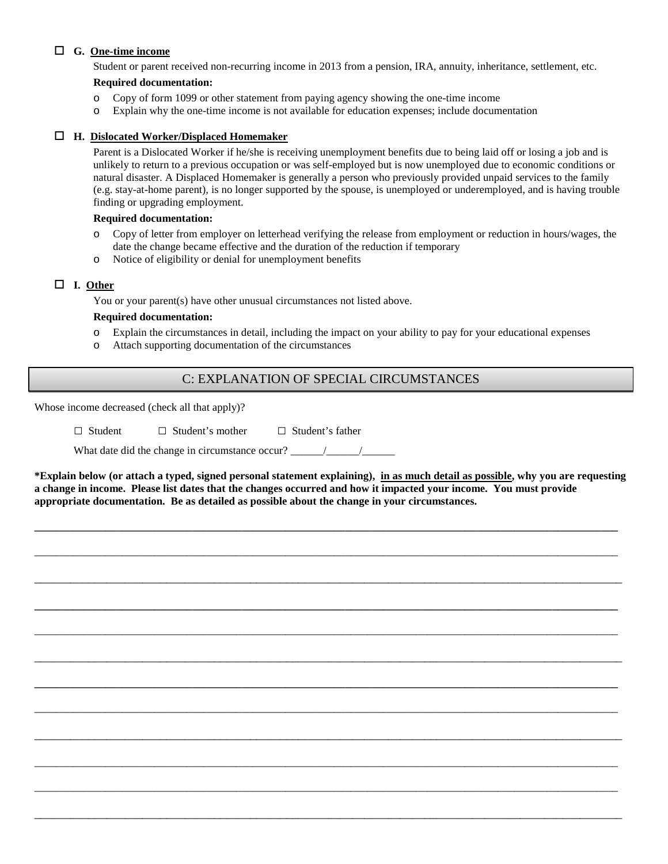## **G. One-time income**

Student or parent received non-recurring income in 2013 from a pension, IRA, annuity, inheritance, settlement, etc.

## **Required documentation:**

- o Copy of form 1099 or other statement from paying agency showing the one-time income
- o Explain why the one-time income is not available for education expenses; include documentation

### **H. Dislocated Worker/Displaced Homemaker**

Parent is a Dislocated Worker if he/she is receiving unemployment benefits due to being laid off or losing a job and is unlikely to return to a previous occupation or was self-employed but is now unemployed due to economic conditions or natural disaster. A Displaced Homemaker is generally a person who previously provided unpaid services to the family (e.g. stay-at-home parent), is no longer supported by the spouse, is unemployed or underemployed, and is having trouble finding or upgrading employment.

#### **Required documentation:**

- o Copy of letter from employer on letterhead verifying the release from employment or reduction in hours/wages, the date the change became effective and the duration of the reduction if temporary
- o Notice of eligibility or denial for unemployment benefits

## **I. Other**

You or your parent(s) have other unusual circumstances not listed above.

#### **Required documentation:**

- o Explain the circumstances in detail, including the impact on your ability to pay for your educational expenses
- o Attach supporting documentation of the circumstances

# C: EXPLANATION OF SPECIAL CIRCUMSTANCES

Whose income decreased (check all that apply)?

□ Student □ Student's mother □ Student's father

What date did the change in circumstance occur?  $\frac{1}{\sqrt{2\pi}}$ 

**\*Explain below (or attach a typed, signed personal statement explaining), in as much detail as possible, why you are requesting a change in income. Please list dates that the changes occurred and how it impacted your income. You must provide appropriate documentation. Be as detailed as possible about the change in your circumstances.** 

**\_\_\_\_\_\_\_\_\_\_\_\_\_\_\_\_\_\_\_\_\_\_\_\_\_\_\_\_\_\_\_\_\_\_\_\_\_\_\_\_\_\_\_\_\_\_\_\_\_\_\_\_\_\_\_\_\_\_\_\_\_\_\_\_\_\_\_\_\_\_\_\_\_\_\_\_\_\_\_\_\_\_\_\_\_\_\_\_\_\_\_\_\_\_\_\_\_\_\_\_\_\_\_\_\_\_\_**

\_\_\_\_\_\_\_\_\_\_\_\_\_\_\_\_\_\_\_\_\_\_\_\_\_\_\_\_\_\_\_\_\_\_\_\_\_\_\_\_\_\_\_\_\_\_\_\_\_\_\_\_\_\_\_\_\_\_\_\_\_\_\_\_\_\_\_\_\_\_\_\_\_\_\_\_\_\_\_\_\_\_\_\_\_\_\_\_\_\_\_\_\_\_\_\_\_\_\_\_\_\_\_\_\_\_\_

\_\_\_\_\_\_\_\_\_\_\_\_\_\_\_\_\_\_\_\_\_\_\_\_\_\_\_\_\_\_\_\_\_\_\_\_\_\_\_\_\_\_\_\_\_\_\_\_\_\_\_\_\_\_\_\_\_\_\_\_\_\_\_\_\_\_\_\_\_\_\_\_\_\_\_\_\_\_\_\_\_\_\_\_\_\_\_\_\_\_\_\_\_\_\_\_\_\_

**\_\_\_\_\_\_\_\_\_\_\_\_\_\_\_\_\_\_\_\_\_\_\_\_\_\_\_\_\_\_\_\_\_\_\_\_\_\_\_\_\_\_\_\_\_\_\_\_\_\_\_\_\_\_\_\_\_\_\_\_\_\_\_\_\_\_\_\_\_\_\_\_\_\_\_\_\_\_\_\_\_\_\_\_\_\_\_\_\_\_\_\_\_\_\_\_\_\_\_\_\_\_\_\_\_\_\_**

\_\_\_\_\_\_\_\_\_\_\_\_\_\_\_\_\_\_\_\_\_\_\_\_\_\_\_\_\_\_\_\_\_\_\_\_\_\_\_\_\_\_\_\_\_\_\_\_\_\_\_\_\_\_\_\_\_\_\_\_\_\_\_\_\_\_\_\_\_\_\_\_\_\_\_\_\_\_\_\_\_\_\_\_\_\_\_\_\_\_\_\_\_\_\_\_\_\_\_\_\_\_\_\_\_\_\_

\_\_\_\_\_\_\_\_\_\_\_\_\_\_\_\_\_\_\_\_\_\_\_\_\_\_\_\_\_\_\_\_\_\_\_\_\_\_\_\_\_\_\_\_\_\_\_\_\_\_\_\_\_\_\_\_\_\_\_\_\_\_\_\_\_\_\_\_\_\_\_\_\_\_\_\_\_\_\_\_\_\_\_\_\_\_\_\_\_\_\_\_\_\_\_\_\_\_

**\_\_\_\_\_\_\_\_\_\_\_\_\_\_\_\_\_\_\_\_\_\_\_\_\_\_\_\_\_\_\_\_\_\_\_\_\_\_\_\_\_\_\_\_\_\_\_\_\_\_\_\_\_\_\_\_\_\_\_\_\_\_\_\_\_\_\_\_\_\_\_\_\_\_\_\_\_\_\_\_\_\_\_\_\_\_\_\_\_\_\_\_\_\_\_\_\_\_\_\_\_\_\_\_\_\_\_**

\_\_\_\_\_\_\_\_\_\_\_\_\_\_\_\_\_\_\_\_\_\_\_\_\_\_\_\_\_\_\_\_\_\_\_\_\_\_\_\_\_\_\_\_\_\_\_\_\_\_\_\_\_\_\_\_\_\_\_\_\_\_\_\_\_\_\_\_\_\_\_\_\_\_\_\_\_\_\_\_\_\_\_\_\_\_\_\_\_\_\_\_\_\_\_\_\_\_\_\_\_\_\_\_\_\_\_

\_\_\_\_\_\_\_\_\_\_\_\_\_\_\_\_\_\_\_\_\_\_\_\_\_\_\_\_\_\_\_\_\_\_\_\_\_\_\_\_\_\_\_\_\_\_\_\_\_\_\_\_\_\_\_\_\_\_\_\_\_\_\_\_\_\_\_\_\_\_\_\_\_\_\_\_\_\_\_\_\_\_\_\_\_\_\_\_\_\_\_\_\_\_\_\_\_\_

\_\_\_\_\_\_\_\_\_\_\_\_\_\_\_\_\_\_\_\_\_\_\_\_\_\_\_\_\_\_\_\_\_\_\_\_\_\_\_\_\_\_\_\_\_\_\_\_\_\_\_\_\_\_\_\_\_\_\_\_\_\_\_\_\_\_\_\_\_\_\_\_\_\_\_\_\_\_\_\_\_\_\_\_\_\_\_\_\_\_\_\_\_\_\_\_\_\_\_\_\_\_\_\_\_\_\_

\_\_\_\_\_\_\_\_\_\_\_\_\_\_\_\_\_\_\_\_\_\_\_\_\_\_\_\_\_\_\_\_\_\_\_\_\_\_\_\_\_\_\_\_\_\_\_\_\_\_\_\_\_\_\_\_\_\_\_\_\_\_\_\_\_\_\_\_\_\_\_\_\_\_\_\_\_\_\_\_\_\_\_\_\_\_\_\_\_\_\_\_\_\_\_\_\_\_\_\_\_\_\_\_\_\_\_

\_\_\_\_\_\_\_\_\_\_\_\_\_\_\_\_\_\_\_\_\_\_\_\_\_\_\_\_\_\_\_\_\_\_\_\_\_\_\_\_\_\_\_\_\_\_\_\_\_\_\_\_\_\_\_\_\_\_\_\_\_\_\_\_\_\_\_\_\_\_\_\_\_\_\_\_\_\_\_\_\_\_\_\_\_\_\_\_\_\_\_\_\_\_\_\_\_\_